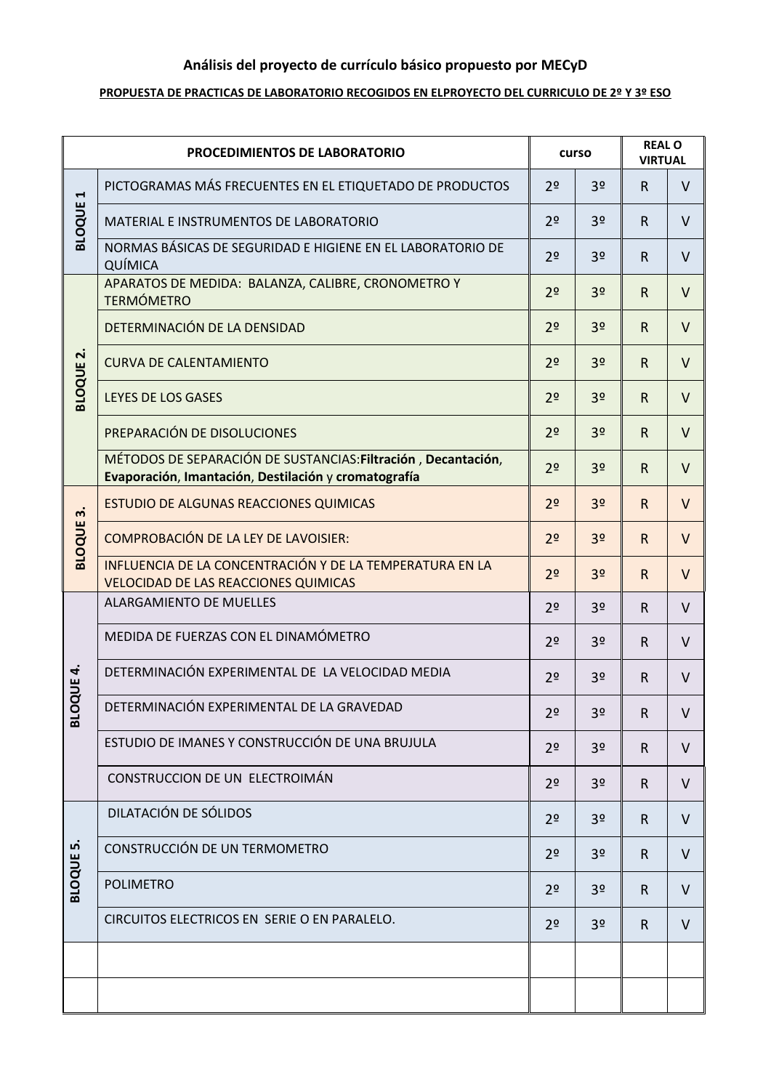# **Análisis del proyecto de currículo básico propuesto por MECyD**

#### **PROPUESTA DE PRACTICAS DE LABORATORIO RECOGIDOS EN ELPROYECTO DEL CURRICULO DE 2º Y 3º ESO**

| PROCEDIMIENTOS DE LABORATORIO          |                                                                                                                       | curso          |                | <b>REAL O</b><br><b>VIRTUAL</b> |        |
|----------------------------------------|-----------------------------------------------------------------------------------------------------------------------|----------------|----------------|---------------------------------|--------|
| $\blacktriangleright$<br><b>BLOQUE</b> | PICTOGRAMAS MÁS FRECUENTES EN EL ETIQUETADO DE PRODUCTOS                                                              | 2 <sup>o</sup> | 3 <sup>o</sup> | $\mathsf{R}$                    | V      |
|                                        | MATERIAL E INSTRUMENTOS DE LABORATORIO                                                                                | 2 <sup>o</sup> | 3 <sup>o</sup> | $\mathsf{R}$                    | $\vee$ |
|                                        | NORMAS BÁSICAS DE SEGURIDAD E HIGIENE EN EL LABORATORIO DE<br>QUÍMICA                                                 | 2 <sup>o</sup> | 3 <sup>o</sup> | $\mathsf{R}$                    | $\vee$ |
| $\dot{\mathbf{r}}$                     | APARATOS DE MEDIDA: BALANZA, CALIBRE, CRONOMETRO Y<br><b>TERMÓMETRO</b>                                               | 2 <sup>o</sup> | 3 <sup>o</sup> | $\mathsf{R}$                    | $\vee$ |
|                                        | DETERMINACIÓN DE LA DENSIDAD                                                                                          | 2 <sup>o</sup> | 3 <sup>o</sup> | $\mathsf{R}$                    | $\vee$ |
|                                        | <b>CURVA DE CALENTAMIENTO</b>                                                                                         | 2 <sup>o</sup> | 3 <sup>o</sup> | $\mathsf{R}$                    | $\vee$ |
| <b>BLOQUE</b>                          | LEYES DE LOS GASES                                                                                                    | 2 <sup>o</sup> | 3 <sup>o</sup> | $\mathsf{R}$                    | $\vee$ |
|                                        | PREPARACIÓN DE DISOLUCIONES                                                                                           | 2 <sup>o</sup> | 3 <sup>o</sup> | $\mathsf{R}$                    | $\vee$ |
|                                        | MÉTODOS DE SEPARACIÓN DE SUSTANCIAS: Filtración, Decantación,<br>Evaporación, Imantación, Destilación y cromatografía | 2 <sup>o</sup> | 3 <sup>o</sup> | $\mathsf{R}$                    | $\vee$ |
| $\dot{m}$                              | ESTUDIO DE ALGUNAS REACCIONES QUIMICAS                                                                                | 2 <sup>o</sup> | 3 <sup>o</sup> | R                               | $\vee$ |
| <b>BLOQUE</b>                          | <b>COMPROBACIÓN DE LA LEY DE LAVOISIER:</b>                                                                           | 2 <sup>o</sup> | 3 <sup>o</sup> | $\mathsf{R}$                    | $\vee$ |
|                                        | INFLUENCIA DE LA CONCENTRACIÓN Y DE LA TEMPERATURA EN LA<br><b>VELOCIDAD DE LAS REACCIONES QUIMICAS</b>               | 2 <sup>o</sup> | 3 <sup>o</sup> | $\mathsf{R}$                    | $\vee$ |
|                                        | <b>ALARGAMIENTO DE MUELLES</b>                                                                                        | 2 <sup>o</sup> | 3 <sup>o</sup> | $\mathsf{R}$                    | $\vee$ |
|                                        | MEDIDA DE FUERZAS CON EL DINAMÓMETRO                                                                                  | 2 <sup>o</sup> | 3 <sup>o</sup> | $\mathsf{R}$                    | $\vee$ |
| <b>DQUE 4.</b>                         | DETERMINACIÓN EXPERIMENTAL DE LA VELOCIDAD MEDIA                                                                      | 2 <sup>o</sup> | 3 <sup>o</sup> | $\mathsf{R}$                    | $\vee$ |
| <b>BLC</b>                             | DETERMINACIÓN EXPERIMENTAL DE LA GRAVEDAD                                                                             | 2 <sup>o</sup> | 3 <sup>o</sup> | $\mathsf{R}$                    | v      |
|                                        | ESTUDIO DE IMANES Y CONSTRUCCIÓN DE UNA BRUJULA                                                                       | 2 <sup>o</sup> | 3 <sup>o</sup> | $\mathsf{R}$                    | $\vee$ |
|                                        | CONSTRUCCION DE UN ELECTROIMÁN                                                                                        | 2 <sup>o</sup> | 3 <sup>o</sup> | $\mathsf{R}$                    | $\vee$ |
|                                        | DILATACIÓN DE SÓLIDOS                                                                                                 | 2 <sup>o</sup> | 3 <sup>o</sup> | $\mathsf{R}$                    | $\vee$ |
| <b>BLOQUE 5.</b>                       | CONSTRUCCIÓN DE UN TERMOMETRO                                                                                         | 2 <sup>o</sup> | 3 <sup>o</sup> | $\mathsf{R}$                    | V      |
|                                        | <b>POLIMETRO</b>                                                                                                      | 2 <sup>o</sup> | 3 <sup>o</sup> | $\mathsf{R}$                    | $\vee$ |
|                                        | CIRCUITOS ELECTRICOS EN SERIE O EN PARALELO.                                                                          | 2 <sup>o</sup> | 3 <sup>o</sup> | $\mathsf{R}$                    | V      |
|                                        |                                                                                                                       |                |                |                                 |        |
|                                        |                                                                                                                       |                |                |                                 |        |